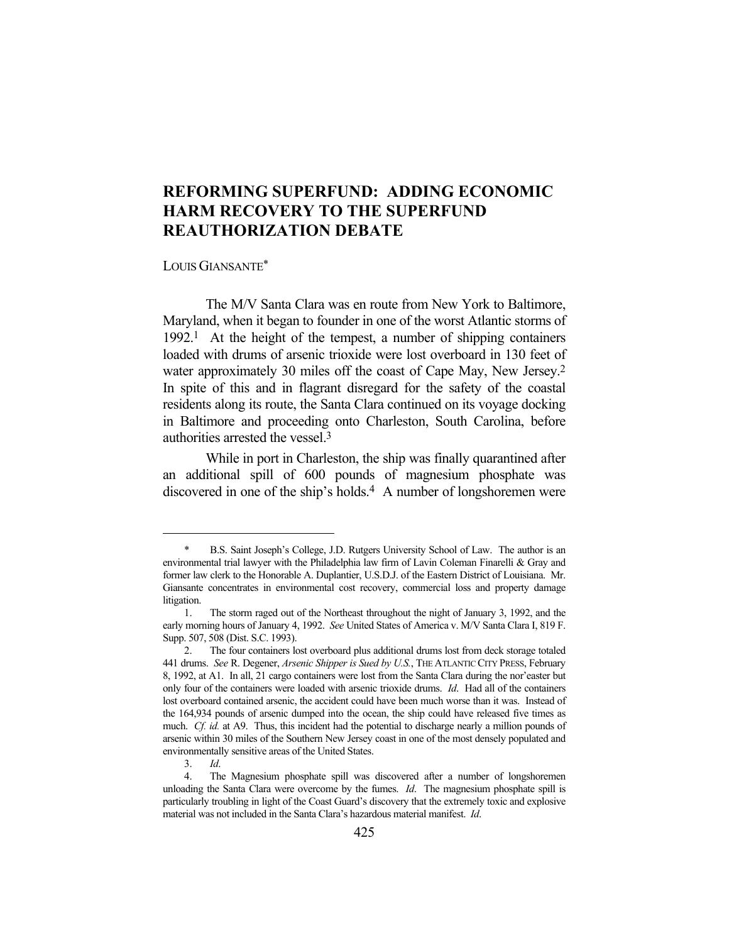## **REFORMING SUPERFUND: ADDING ECONOMIC HARM RECOVERY TO THE SUPERFUND REAUTHORIZATION DEBATE**

## LOUIS GIANSANTE\*

 The M/V Santa Clara was en route from New York to Baltimore, Maryland, when it began to founder in one of the worst Atlantic storms of 1992.1 At the height of the tempest, a number of shipping containers loaded with drums of arsenic trioxide were lost overboard in 130 feet of water approximately 30 miles off the coast of Cape May, New Jersey.2 In spite of this and in flagrant disregard for the safety of the coastal residents along its route, the Santa Clara continued on its voyage docking in Baltimore and proceeding onto Charleston, South Carolina, before authorities arrested the vessel.3

 While in port in Charleston, the ship was finally quarantined after an additional spill of 600 pounds of magnesium phosphate was discovered in one of the ship's holds.<sup>4</sup> A number of longshoremen were

<sup>\*</sup> B.S. Saint Joseph's College, J.D. Rutgers University School of Law. The author is an environmental trial lawyer with the Philadelphia law firm of Lavin Coleman Finarelli & Gray and former law clerk to the Honorable A. Duplantier, U.S.D.J. of the Eastern District of Louisiana. Mr. Giansante concentrates in environmental cost recovery, commercial loss and property damage litigation.

 <sup>1.</sup> The storm raged out of the Northeast throughout the night of January 3, 1992, and the early morning hours of January 4, 1992. *See* United States of America v. M/V Santa Clara I, 819 F. Supp. 507, 508 (Dist. S.C. 1993).

 <sup>2.</sup> The four containers lost overboard plus additional drums lost from deck storage totaled 441 drums. *See* R. Degener, *Arsenic Shipper is Sued by U.S.*, THE ATLANTIC CITY PRESS, February 8, 1992, at A1. In all, 21 cargo containers were lost from the Santa Clara during the nor'easter but only four of the containers were loaded with arsenic trioxide drums. *Id*. Had all of the containers lost overboard contained arsenic, the accident could have been much worse than it was. Instead of the 164,934 pounds of arsenic dumped into the ocean, the ship could have released five times as much. *Cf. id.* at A9. Thus, this incident had the potential to discharge nearly a million pounds of arsenic within 30 miles of the Southern New Jersey coast in one of the most densely populated and environmentally sensitive areas of the United States.

 <sup>3.</sup> *Id*.

 <sup>4.</sup> The Magnesium phosphate spill was discovered after a number of longshoremen unloading the Santa Clara were overcome by the fumes. *Id*. The magnesium phosphate spill is particularly troubling in light of the Coast Guard's discovery that the extremely toxic and explosive material was not included in the Santa Clara's hazardous material manifest. *Id*.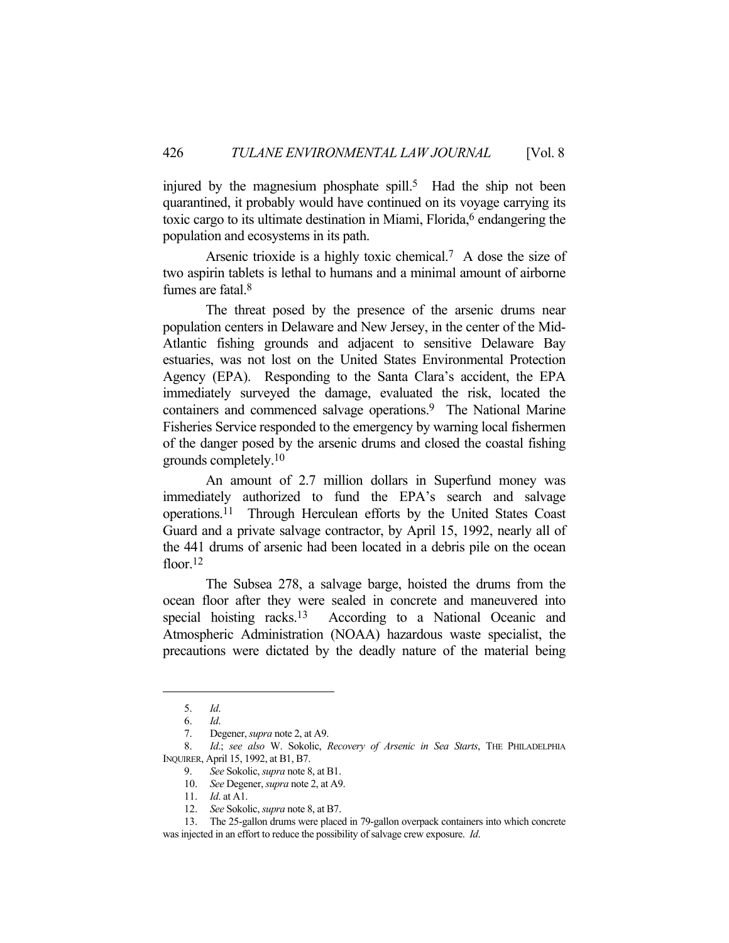injured by the magnesium phosphate spill.<sup>5</sup> Had the ship not been quarantined, it probably would have continued on its voyage carrying its toxic cargo to its ultimate destination in Miami, Florida, $6$  endangering the population and ecosystems in its path.

Arsenic trioxide is a highly toxic chemical.<sup>7</sup> A dose the size of two aspirin tablets is lethal to humans and a minimal amount of airborne fumes are fatal.8

 The threat posed by the presence of the arsenic drums near population centers in Delaware and New Jersey, in the center of the Mid-Atlantic fishing grounds and adjacent to sensitive Delaware Bay estuaries, was not lost on the United States Environmental Protection Agency (EPA). Responding to the Santa Clara's accident, the EPA immediately surveyed the damage, evaluated the risk, located the containers and commenced salvage operations.<sup>9</sup> The National Marine Fisheries Service responded to the emergency by warning local fishermen of the danger posed by the arsenic drums and closed the coastal fishing grounds completely.10

 An amount of 2.7 million dollars in Superfund money was immediately authorized to fund the EPA's search and salvage operations.11 Through Herculean efforts by the United States Coast Guard and a private salvage contractor, by April 15, 1992, nearly all of the 441 drums of arsenic had been located in a debris pile on the ocean floor.<sup>12</sup>

 The Subsea 278, a salvage barge, hoisted the drums from the ocean floor after they were sealed in concrete and maneuvered into special hoisting racks.<sup>13</sup> According to a National Oceanic and Atmospheric Administration (NOAA) hazardous waste specialist, the precautions were dictated by the deadly nature of the material being

 <sup>5.</sup> *Id*.

 <sup>6.</sup> *Id*.

 <sup>7.</sup> Degener, *supra* note 2, at A9.

 <sup>8.</sup> *Id*.; *see also* W. Sokolic, *Recovery of Arsenic in Sea Starts*, THE PHILADELPHIA INQUIRER, April 15, 1992, at B1, B7.

 <sup>9.</sup> *See* Sokolic, *supra* note 8, at B1.

 <sup>10.</sup> *See* Degener, *supra* note 2, at A9.

 <sup>11.</sup> *Id*. at A1.

 <sup>12.</sup> *See* Sokolic, *supra* note 8, at B7.

 <sup>13.</sup> The 25-gallon drums were placed in 79-gallon overpack containers into which concrete was injected in an effort to reduce the possibility of salvage crew exposure. *Id*.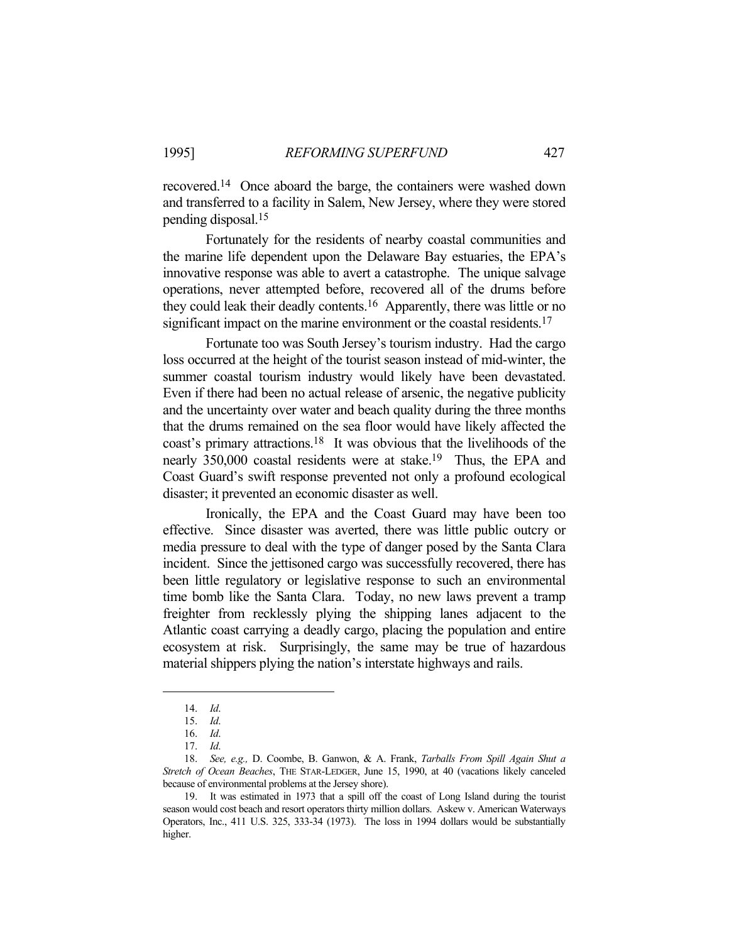recovered.14 Once aboard the barge, the containers were washed down and transferred to a facility in Salem, New Jersey, where they were stored pending disposal.15

 Fortunately for the residents of nearby coastal communities and the marine life dependent upon the Delaware Bay estuaries, the EPA's innovative response was able to avert a catastrophe. The unique salvage operations, never attempted before, recovered all of the drums before they could leak their deadly contents.16 Apparently, there was little or no significant impact on the marine environment or the coastal residents.<sup>17</sup>

 Fortunate too was South Jersey's tourism industry. Had the cargo loss occurred at the height of the tourist season instead of mid-winter, the summer coastal tourism industry would likely have been devastated. Even if there had been no actual release of arsenic, the negative publicity and the uncertainty over water and beach quality during the three months that the drums remained on the sea floor would have likely affected the coast's primary attractions.18 It was obvious that the livelihoods of the nearly 350,000 coastal residents were at stake.<sup>19</sup> Thus, the EPA and Coast Guard's swift response prevented not only a profound ecological disaster; it prevented an economic disaster as well.

 Ironically, the EPA and the Coast Guard may have been too effective. Since disaster was averted, there was little public outcry or media pressure to deal with the type of danger posed by the Santa Clara incident. Since the jettisoned cargo was successfully recovered, there has been little regulatory or legislative response to such an environmental time bomb like the Santa Clara. Today, no new laws prevent a tramp freighter from recklessly plying the shipping lanes adjacent to the Atlantic coast carrying a deadly cargo, placing the population and entire ecosystem at risk. Surprisingly, the same may be true of hazardous material shippers plying the nation's interstate highways and rails.

 <sup>14.</sup> *Id*.

 <sup>15.</sup> *Id*.

 <sup>16.</sup> *Id*.

 <sup>17.</sup> *Id*.

 <sup>18.</sup> *See, e.g.,* D. Coombe, B. Ganwon, & A. Frank, *Tarballs From Spill Again Shut a Stretch of Ocean Beaches*, THE STAR-LEDGER, June 15, 1990, at 40 (vacations likely canceled because of environmental problems at the Jersey shore).

 <sup>19.</sup> It was estimated in 1973 that a spill off the coast of Long Island during the tourist season would cost beach and resort operators thirty million dollars. Askew v. American Waterways Operators, Inc., 411 U.S. 325, 333-34 (1973). The loss in 1994 dollars would be substantially higher.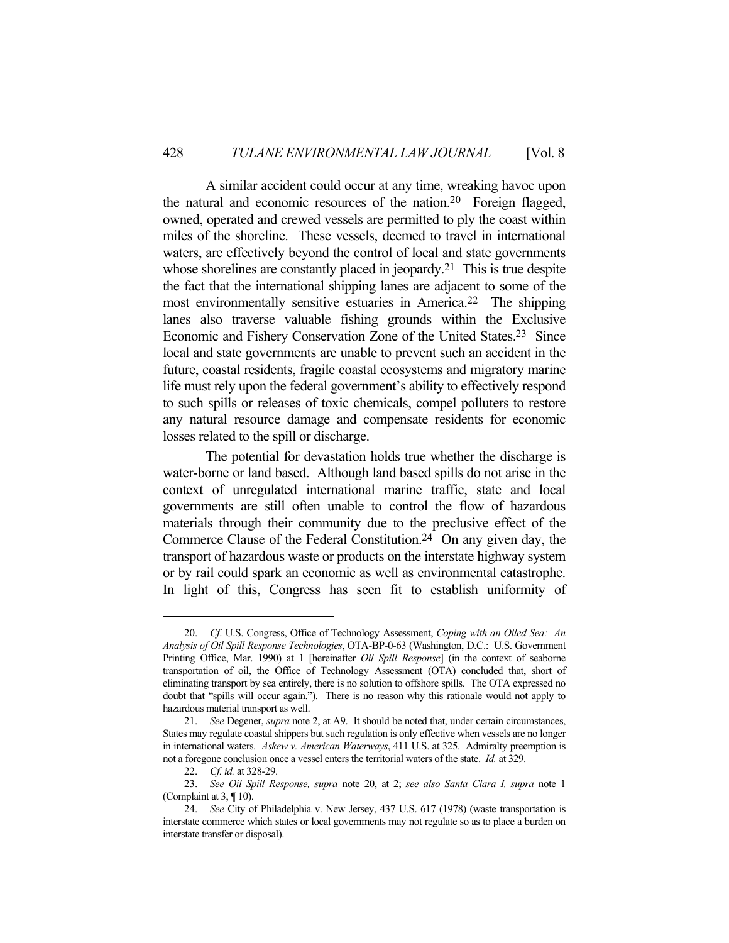A similar accident could occur at any time, wreaking havoc upon the natural and economic resources of the nation.20 Foreign flagged, owned, operated and crewed vessels are permitted to ply the coast within miles of the shoreline. These vessels, deemed to travel in international waters, are effectively beyond the control of local and state governments whose shorelines are constantly placed in jeopardy.<sup>21</sup> This is true despite the fact that the international shipping lanes are adjacent to some of the most environmentally sensitive estuaries in America.22 The shipping lanes also traverse valuable fishing grounds within the Exclusive Economic and Fishery Conservation Zone of the United States.23 Since local and state governments are unable to prevent such an accident in the future, coastal residents, fragile coastal ecosystems and migratory marine life must rely upon the federal government's ability to effectively respond to such spills or releases of toxic chemicals, compel polluters to restore any natural resource damage and compensate residents for economic losses related to the spill or discharge.

 The potential for devastation holds true whether the discharge is water-borne or land based. Although land based spills do not arise in the context of unregulated international marine traffic, state and local governments are still often unable to control the flow of hazardous materials through their community due to the preclusive effect of the Commerce Clause of the Federal Constitution.24 On any given day, the transport of hazardous waste or products on the interstate highway system or by rail could spark an economic as well as environmental catastrophe. In light of this, Congress has seen fit to establish uniformity of

 <sup>20.</sup> *Cf*. U.S. Congress, Office of Technology Assessment, *Coping with an Oiled Sea: An Analysis of Oil Spill Response Technologies*, OTA-BP-0-63 (Washington, D.C.: U.S. Government Printing Office, Mar. 1990) at 1 [hereinafter *Oil Spill Response*] (in the context of seaborne transportation of oil, the Office of Technology Assessment (OTA) concluded that, short of eliminating transport by sea entirely, there is no solution to offshore spills. The OTA expressed no doubt that "spills will occur again."). There is no reason why this rationale would not apply to hazardous material transport as well.

 <sup>21.</sup> *See* Degener, *supra* note 2, at A9. It should be noted that, under certain circumstances, States may regulate coastal shippers but such regulation is only effective when vessels are no longer in international waters. *Askew v. American Waterways*, 411 U.S. at 325. Admiralty preemption is not a foregone conclusion once a vessel enters the territorial waters of the state. *Id.* at 329.

 <sup>22.</sup> *Cf. id.* at 328-29.

 <sup>23.</sup> *See Oil Spill Response, supra* note 20, at 2; *see also Santa Clara I, supra* note 1 (Complaint at  $3$ ,  $\P$  10).

 <sup>24.</sup> *See* City of Philadelphia v. New Jersey, 437 U.S. 617 (1978) (waste transportation is interstate commerce which states or local governments may not regulate so as to place a burden on interstate transfer or disposal).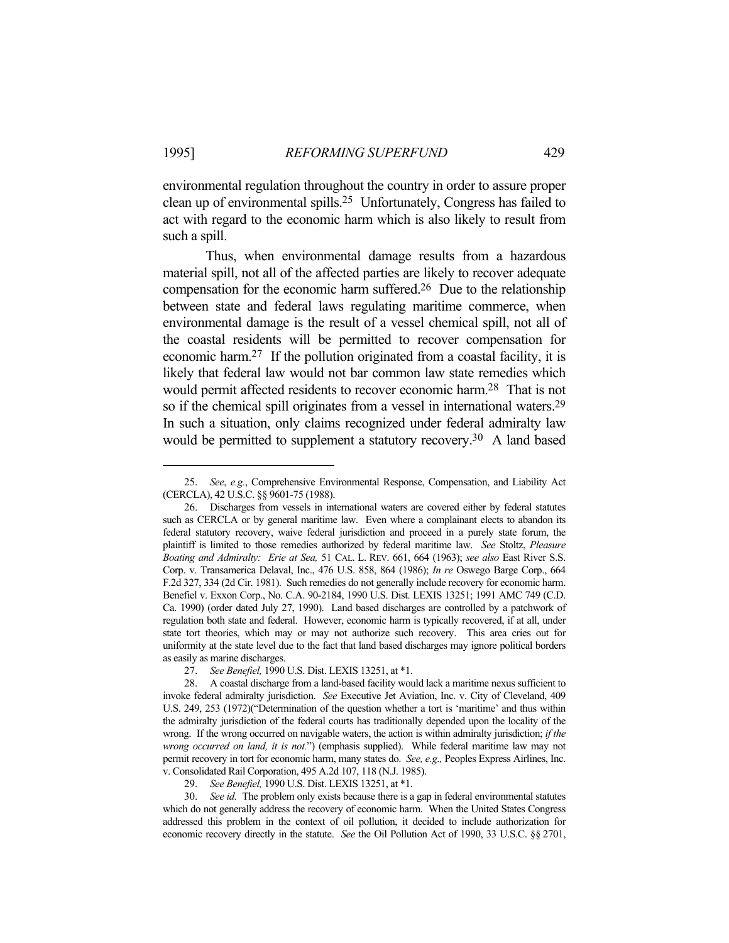environmental regulation throughout the country in order to assure proper clean up of environmental spills.25 Unfortunately, Congress has failed to act with regard to the economic harm which is also likely to result from such a spill.

 Thus, when environmental damage results from a hazardous material spill, not all of the affected parties are likely to recover adequate compensation for the economic harm suffered.26 Due to the relationship between state and federal laws regulating maritime commerce, when environmental damage is the result of a vessel chemical spill, not all of the coastal residents will be permitted to recover compensation for economic harm.27 If the pollution originated from a coastal facility, it is likely that federal law would not bar common law state remedies which would permit affected residents to recover economic harm.28 That is not so if the chemical spill originates from a vessel in international waters.29 In such a situation, only claims recognized under federal admiralty law would be permitted to supplement a statutory recovery.<sup>30</sup> A land based

 <sup>25.</sup> *See*, *e.g.*, Comprehensive Environmental Response, Compensation, and Liability Act (CERCLA), 42 U.S.C. §§ 9601-75 (1988).

 <sup>26.</sup> Discharges from vessels in international waters are covered either by federal statutes such as CERCLA or by general maritime law. Even where a complainant elects to abandon its federal statutory recovery, waive federal jurisdiction and proceed in a purely state forum, the plaintiff is limited to those remedies authorized by federal maritime law. *See* Stoltz, *Pleasure Boating and Admiralty: Erie at Sea,* 51 CAL. L. REV. 661, 664 (1963); *see also* East River S.S. Corp. v. Transamerica Delaval, Inc., 476 U.S. 858, 864 (1986); *In re* Oswego Barge Corp., 664 F.2d 327, 334 (2d Cir. 1981). Such remedies do not generally include recovery for economic harm. Benefiel v. Exxon Corp., No. C.A. 90-2184, 1990 U.S. Dist. LEXIS 13251; 1991 AMC 749 (C.D. Ca. 1990) (order dated July 27, 1990). Land based discharges are controlled by a patchwork of regulation both state and federal. However, economic harm is typically recovered, if at all, under state tort theories, which may or may not authorize such recovery. This area cries out for uniformity at the state level due to the fact that land based discharges may ignore political borders as easily as marine discharges.

 <sup>27.</sup> *See Benefiel,* 1990 U.S. Dist. LEXIS 13251, at \*1.

 <sup>28.</sup> A coastal discharge from a land-based facility would lack a maritime nexus sufficient to invoke federal admiralty jurisdiction. *See* Executive Jet Aviation, Inc. v. City of Cleveland, 409 U.S. 249, 253 (1972)("Determination of the question whether a tort is 'maritime' and thus within the admiralty jurisdiction of the federal courts has traditionally depended upon the locality of the wrong. If the wrong occurred on navigable waters, the action is within admiralty jurisdiction; *if the wrong occurred on land, it is not.*") (emphasis supplied). While federal maritime law may not permit recovery in tort for economic harm, many states do. *See, e.g.,* Peoples Express Airlines, Inc. v. Consolidated Rail Corporation, 495 A.2d 107, 118 (N.J. 1985).

 <sup>29.</sup> *See Benefiel,* 1990 U.S. Dist. LEXIS 13251, at \*1.

 <sup>30.</sup> *See id.* The problem only exists because there is a gap in federal environmental statutes which do not generally address the recovery of economic harm. When the United States Congress addressed this problem in the context of oil pollution, it decided to include authorization for economic recovery directly in the statute. *See* the Oil Pollution Act of 1990, 33 U.S.C. §§ 2701,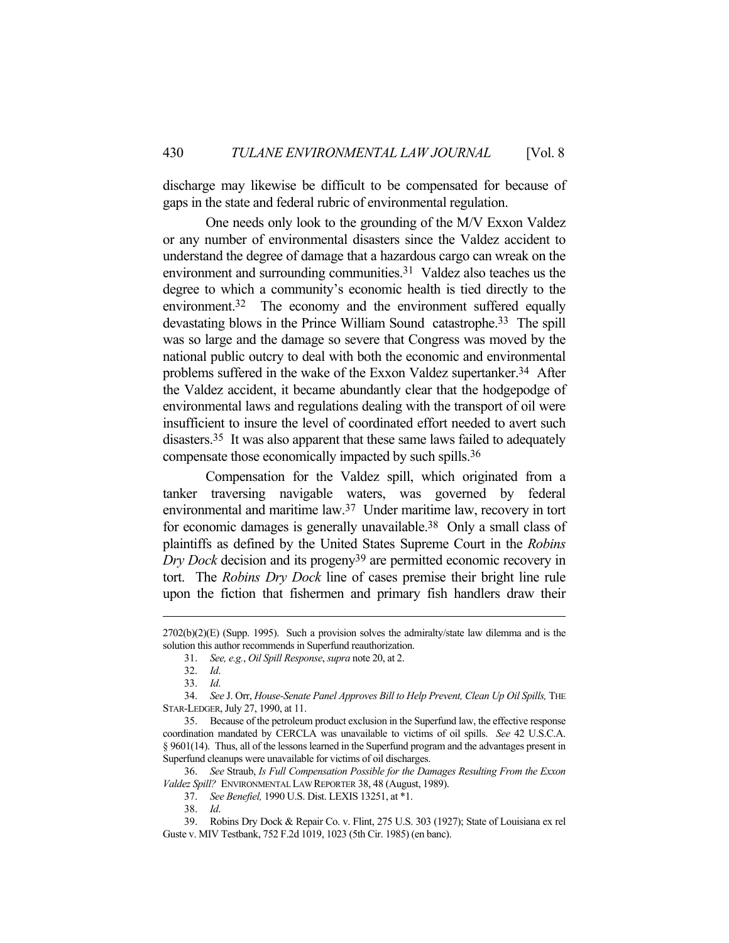discharge may likewise be difficult to be compensated for because of gaps in the state and federal rubric of environmental regulation.

 One needs only look to the grounding of the M/V Exxon Valdez or any number of environmental disasters since the Valdez accident to understand the degree of damage that a hazardous cargo can wreak on the environment and surrounding communities.<sup>31</sup> Valdez also teaches us the degree to which a community's economic health is tied directly to the environment.<sup>32</sup> The economy and the environment suffered equally devastating blows in the Prince William Sound catastrophe.33 The spill was so large and the damage so severe that Congress was moved by the national public outcry to deal with both the economic and environmental problems suffered in the wake of the Exxon Valdez supertanker.<sup>34</sup> After the Valdez accident, it became abundantly clear that the hodgepodge of environmental laws and regulations dealing with the transport of oil were insufficient to insure the level of coordinated effort needed to avert such disasters.35 It was also apparent that these same laws failed to adequately compensate those economically impacted by such spills.36

 Compensation for the Valdez spill, which originated from a tanker traversing navigable waters, was governed by federal environmental and maritime law.37 Under maritime law, recovery in tort for economic damages is generally unavailable.38 Only a small class of plaintiffs as defined by the United States Supreme Court in the *Robins Dry Dock* decision and its progeny39 are permitted economic recovery in tort. The *Robins Dry Dock* line of cases premise their bright line rule upon the fiction that fishermen and primary fish handlers draw their

 $2702(b)(2)(E)$  (Supp. 1995). Such a provision solves the admiralty/state law dilemma and is the solution this author recommends in Superfund reauthorization.

 <sup>31.</sup> *See, e.g.*, *Oil Spill Response*, *supra* note 20, at 2.

 <sup>32.</sup> *Id*.

 <sup>33.</sup> *Id*.

 <sup>34.</sup> *See* J. Orr, *House-Senate Panel Approves Bill to Help Prevent, Clean Up Oil Spills,* THE STAR-LEDGER, July 27, 1990, at 11.

 <sup>35.</sup> Because of the petroleum product exclusion in the Superfund law, the effective response coordination mandated by CERCLA was unavailable to victims of oil spills. *See* 42 U.S.C.A. § 9601(14). Thus, all of the lessons learned in the Superfund program and the advantages present in Superfund cleanups were unavailable for victims of oil discharges.

 <sup>36.</sup> *See* Straub, *Is Full Compensation Possible for the Damages Resulting From the Exxon Valdez Spill?* ENVIRONMENTAL LAW REPORTER 38, 48 (August, 1989).

 <sup>37.</sup> *See Benefiel,* 1990 U.S. Dist. LEXIS 13251, at \*1.

 <sup>38.</sup> *Id*.

 <sup>39.</sup> Robins Dry Dock & Repair Co. v. Flint, 275 U.S. 303 (1927); State of Louisiana ex rel Guste v. MIV Testbank, 752 F.2d 1019, 1023 (5th Cir. 1985) (en banc).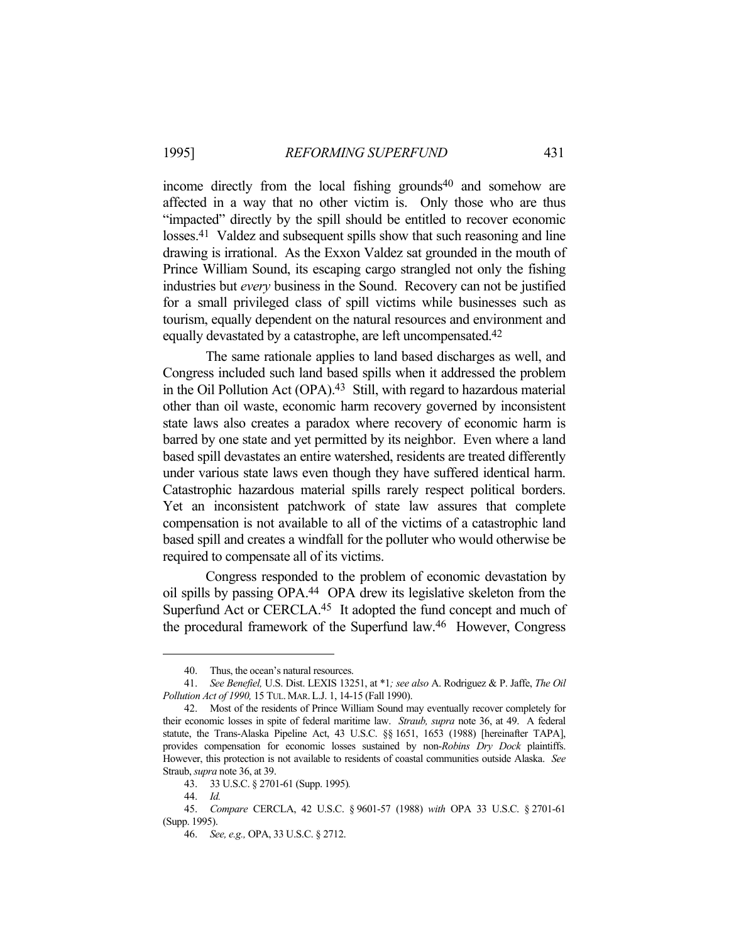income directly from the local fishing grounds<sup>40</sup> and somehow are affected in a way that no other victim is. Only those who are thus "impacted" directly by the spill should be entitled to recover economic losses.<sup>41</sup> Valdez and subsequent spills show that such reasoning and line drawing is irrational. As the Exxon Valdez sat grounded in the mouth of Prince William Sound, its escaping cargo strangled not only the fishing industries but *every* business in the Sound. Recovery can not be justified for a small privileged class of spill victims while businesses such as tourism, equally dependent on the natural resources and environment and equally devastated by a catastrophe, are left uncompensated.<sup>42</sup>

 The same rationale applies to land based discharges as well, and Congress included such land based spills when it addressed the problem in the Oil Pollution Act (OPA).<sup>43</sup> Still, with regard to hazardous material other than oil waste, economic harm recovery governed by inconsistent state laws also creates a paradox where recovery of economic harm is barred by one state and yet permitted by its neighbor. Even where a land based spill devastates an entire watershed, residents are treated differently under various state laws even though they have suffered identical harm. Catastrophic hazardous material spills rarely respect political borders. Yet an inconsistent patchwork of state law assures that complete compensation is not available to all of the victims of a catastrophic land based spill and creates a windfall for the polluter who would otherwise be required to compensate all of its victims.

 Congress responded to the problem of economic devastation by oil spills by passing OPA.44 OPA drew its legislative skeleton from the Superfund Act or CERCLA.<sup>45</sup> It adopted the fund concept and much of the procedural framework of the Superfund law.46 However, Congress

 <sup>40.</sup> Thus, the ocean's natural resources.

 <sup>41.</sup> *See Benefiel,* U.S. Dist. LEXIS 13251, at \*1*; see also* A. Rodriguez & P. Jaffe, *The Oil Pollution Act of 1990,* 15 TUL.MAR.L.J. 1, 14-15 (Fall 1990).

 <sup>42.</sup> Most of the residents of Prince William Sound may eventually recover completely for their economic losses in spite of federal maritime law. *Straub, supra* note 36, at 49. A federal statute, the Trans-Alaska Pipeline Act, 43 U.S.C. §§ 1651, 1653 (1988) [hereinafter TAPA], provides compensation for economic losses sustained by non-*Robins Dry Dock* plaintiffs. However, this protection is not available to residents of coastal communities outside Alaska. *See* Straub, *supra* note 36, at 39.

 <sup>43. 33</sup> U.S.C. § 2701-61 (Supp. 1995)*.*

 <sup>44.</sup> *Id.*

 <sup>45.</sup> *Compare* CERCLA, 42 U.S.C. § 9601-57 (1988) *with* OPA 33 U.S.C. § 2701-61 (Supp. 1995).

 <sup>46.</sup> *See, e.g.,* OPA, 33 U.S.C. § 2712.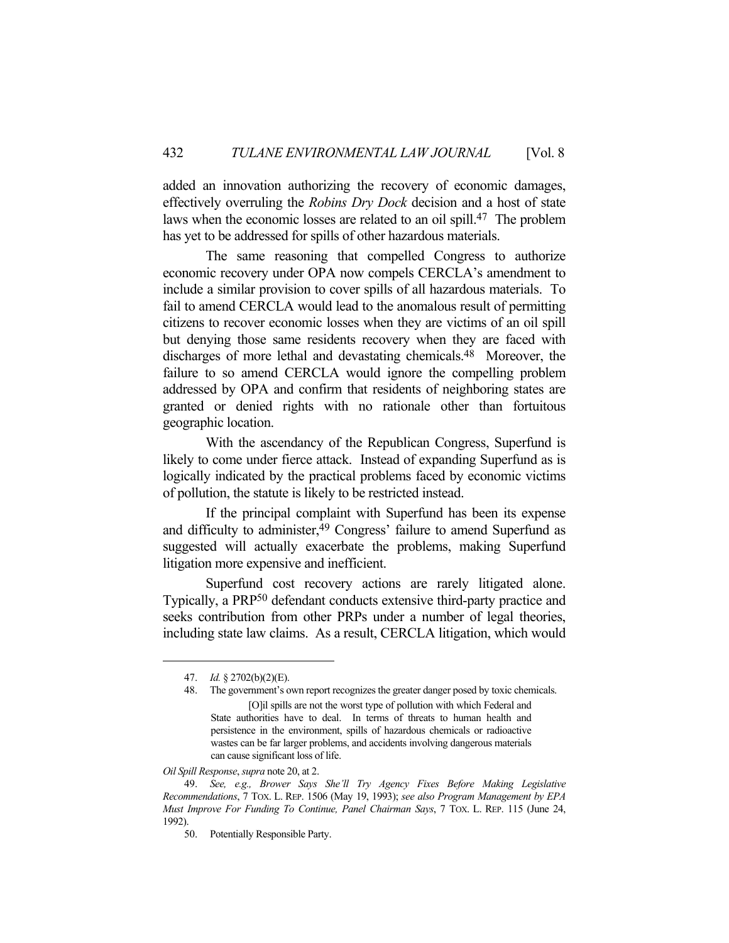added an innovation authorizing the recovery of economic damages, effectively overruling the *Robins Dry Dock* decision and a host of state laws when the economic losses are related to an oil spill.47 The problem has yet to be addressed for spills of other hazardous materials.

 The same reasoning that compelled Congress to authorize economic recovery under OPA now compels CERCLA's amendment to include a similar provision to cover spills of all hazardous materials. To fail to amend CERCLA would lead to the anomalous result of permitting citizens to recover economic losses when they are victims of an oil spill but denying those same residents recovery when they are faced with discharges of more lethal and devastating chemicals.48 Moreover, the failure to so amend CERCLA would ignore the compelling problem addressed by OPA and confirm that residents of neighboring states are granted or denied rights with no rationale other than fortuitous geographic location.

 With the ascendancy of the Republican Congress, Superfund is likely to come under fierce attack. Instead of expanding Superfund as is logically indicated by the practical problems faced by economic victims of pollution, the statute is likely to be restricted instead.

 If the principal complaint with Superfund has been its expense and difficulty to administer,<sup>49</sup> Congress' failure to amend Superfund as suggested will actually exacerbate the problems, making Superfund litigation more expensive and inefficient.

 Superfund cost recovery actions are rarely litigated alone. Typically, a PRP50 defendant conducts extensive third-party practice and seeks contribution from other PRPs under a number of legal theories, including state law claims. As a result, CERCLA litigation, which would

*Oil Spill Response*, *supra* note 20, at 2.

 <sup>47.</sup> *Id.* § 2702(b)(2)(E).

 <sup>48.</sup> The government's own report recognizes the greater danger posed by toxic chemicals. [O]il spills are not the worst type of pollution with which Federal and State authorities have to deal. In terms of threats to human health and persistence in the environment, spills of hazardous chemicals or radioactive wastes can be far larger problems, and accidents involving dangerous materials can cause significant loss of life.

 <sup>49.</sup> *See, e.g., Brower Says She'll Try Agency Fixes Before Making Legislative Recommendations*, 7 TOX. L. REP. 1506 (May 19, 1993); *see also Program Management by EPA Must Improve For Funding To Continue, Panel Chairman Says*, 7 TOX. L. REP. 115 (June 24, 1992).

 <sup>50.</sup> Potentially Responsible Party.